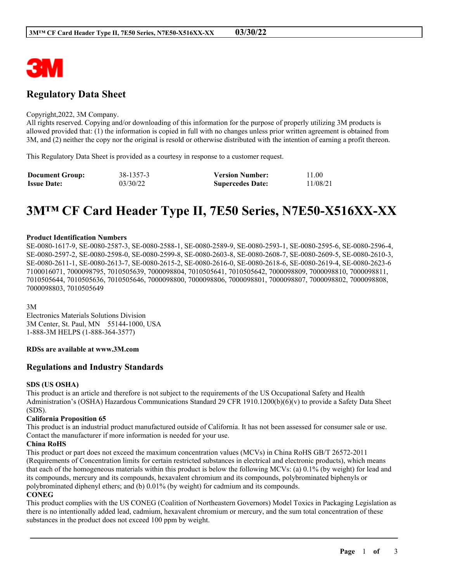

# **Regulatory Data Sheet**

#### Copyright,2022, 3M Company.

All rights reserved. Copying and/or downloading of this information for the purpose of properly utilizing 3M products is allowed provided that: (1) the information is copied in full with no changes unless prior written agreement is obtained from 3M, and (2) neither the copy nor the original is resold or otherwise distributed with the intention of earning a profit thereon.

This Regulatory Data Sheet is provided as a courtesy in response to a customer request.

| <b>Document Group:</b> | 38-1357-3 | <b>Version Number:</b>  | 11.00    |
|------------------------|-----------|-------------------------|----------|
| <b>Issue Date:</b>     | 03/30/22  | <b>Supercedes Date:</b> | 11/08/21 |

# **3M™ CF Card Header Type II, 7E50 Series, N7E50-X516XX-XX**

#### **Product Identification Numbers**

SE-0080-1617-9, SE-0080-2587-3, SE-0080-2588-1, SE-0080-2589-9, SE-0080-2593-1, SE-0080-2595-6, SE-0080-2596-4, SE-0080-2597-2, SE-0080-2598-0, SE-0080-2599-8, SE-0080-2603-8, SE-0080-2608-7, SE-0080-2609-5, SE-0080-2610-3, SE-0080-2611-1, SE-0080-2613-7, SE-0080-2615-2, SE-0080-2616-0, SE-0080-2618-6, SE-0080-2619-4, SE-0080-2623-6 7100016071, 7000098795, 7010505639, 7000098804, 7010505641, 7010505642, 7000098809, 7000098810, 7000098811, 7010505644, 7010505636, 7010505646, 7000098800, 7000098806, 7000098801, 7000098807, 7000098802, 7000098808, 7000098803, 7010505649

3M

Electronics Materials Solutions Division 3M Center, St. Paul, MN 55144-1000, USA 1-888-3M HELPS (1-888-364-3577)

#### **RDSs are available at www.3M.com**

# **Regulations and Industry Standards**

#### **SDS (US OSHA)**

This product is an article and therefore is not subject to the requirements of the US Occupational Safety and Health Administration's (OSHA) Hazardous Communications Standard 29 CFR 1910.1200(b)(6)(v) to provide a Safety Data Sheet (SDS).

#### **California Proposition 65**

This product is an industrial product manufactured outside of California. It has not been assessed for consumer sale or use. Contact the manufacturer if more information is needed for your use.

#### **China RoHS**

This product or part does not exceed the maximum concentration values (MCVs) in China RoHS GB/T 26572-2011 (Requirements of Concentration limits for certain restricted substances in electrical and electronic products), which means that each of the homogeneous materials within this product is below the following MCVs: (a) 0.1% (by weight) for lead and its compounds, mercury and its compounds, hexavalent chromium and its compounds, polybrominated biphenyls or polybrominated diphenyl ethers; and (b) 0.01% (by weight) for cadmium and its compounds.

#### **CONEG**

This product complies with the US CONEG (Coalition of Northeastern Governors) Model Toxics in Packaging Legislation as there is no intentionally added lead, cadmium, hexavalent chromium or mercury, and the sum total concentration of these substances in the product does not exceed 100 ppm by weight.

\_\_\_\_\_\_\_\_\_\_\_\_\_\_\_\_\_\_\_\_\_\_\_\_\_\_\_\_\_\_\_\_\_\_\_\_\_\_\_\_\_\_\_\_\_\_\_\_\_\_\_\_\_\_\_\_\_\_\_\_\_\_\_\_\_\_\_\_\_\_\_\_\_\_\_\_\_\_\_\_\_\_\_\_\_\_\_\_\_\_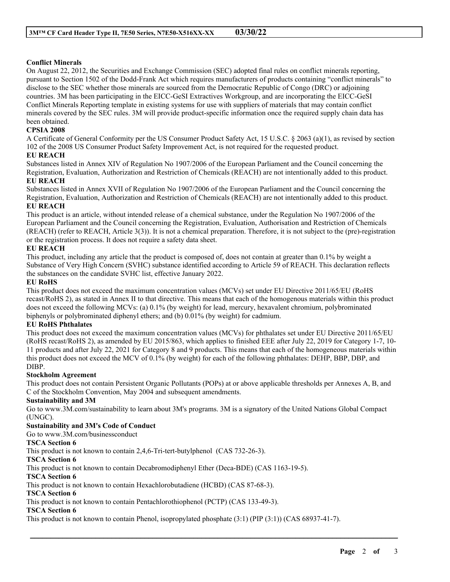# **Conflict Minerals**

On August 22, 2012, the Securities and Exchange Commission (SEC) adopted final rules on conflict minerals reporting, pursuant to Section 1502 of the Dodd-Frank Act which requires manufacturers of products containing "conflict minerals" to disclose to the SEC whether those minerals are sourced from the Democratic Republic of Congo (DRC) or adjoining countries. 3M has been participating in the EICC-GeSI Extractives Workgroup, and are incorporating the EICC-GeSI Conflict Minerals Reporting template in existing systems for use with suppliers of materials that may contain conflict minerals covered by the SEC rules. 3M will provide product-specific information once the required supply chain data has been obtained.

# **CPSIA 2008**

A Certificate of General Conformity per the US Consumer Product Safety Act, 15 U.S.C. § 2063 (a)(1), as revised by section 102 of the 2008 US Consumer Product Safety Improvement Act, is not required for the requested product.

#### **EU REACH**

Substances listed in Annex XIV of Regulation No 1907/2006 of the European Parliament and the Council concerning the Registration, Evaluation, Authorization and Restriction of Chemicals (REACH) are not intentionally added to this product. **EU REACH**

Substances listed in Annex XVII of Regulation No 1907/2006 of the European Parliament and the Council concerning the Registration, Evaluation, Authorization and Restriction of Chemicals (REACH) are not intentionally added to this product. **EU REACH**

This product is an article, without intended release of a chemical substance, under the Regulation No 1907/2006 of the European Parliament and the Council concerning the Registration, Evaluation, Authorisation and Restriction of Chemicals (REACH) (refer to REACH, Article 3(3)). It is not a chemical preparation. Therefore, it is not subject to the (pre)-registration or the registration process. It does not require a safety data sheet.

#### **EU REACH**

This product, including any article that the product is composed of, does not contain at greater than 0.1% by weight a Substance of Very High Concern (SVHC) substance identified according to Article 59 of REACH. This declaration reflects the substances on the candidate SVHC list, effective January 2022.

#### **EU RoHS**

This product does not exceed the maximum concentration values (MCVs) set under EU Directive 2011/65/EU (RoHS recast/RoHS 2), as stated in Annex II to that directive. This means that each of the homogenous materials within this product does not exceed the following MCVs: (a) 0.1% (by weight) for lead, mercury, hexavalent chromium, polybrominated biphenyls or polybrominated diphenyl ethers; and (b) 0.01% (by weight) for cadmium.

# **EU RoHS Phthalates**

This product does not exceed the maximum concentration values (MCVs) for phthalates set under EU Directive 2011/65/EU (RoHS recast/RoHS 2), as amended by EU 2015/863, which applies to finished EEE after July 22, 2019 for Category 1-7, 10- 11 products and after July 22, 2021 for Category 8 and 9 products. This means that each of the homogeneous materials within this product does not exceed the MCV of 0.1% (by weight) for each of the following phthalates: DEHP, BBP, DBP, and DIBP.

#### **Stockholm Agreement**

This product does not contain Persistent Organic Pollutants (POPs) at or above applicable thresholds per Annexes A, B, and C of the Stockholm Convention, May 2004 and subsequent amendments.

#### **Sustainability and 3M**

Go to www.3M.com/sustainability to learn about 3M's programs. 3M is a signatory of the United Nations Global Compact (UNGC).

\_\_\_\_\_\_\_\_\_\_\_\_\_\_\_\_\_\_\_\_\_\_\_\_\_\_\_\_\_\_\_\_\_\_\_\_\_\_\_\_\_\_\_\_\_\_\_\_\_\_\_\_\_\_\_\_\_\_\_\_\_\_\_\_\_\_\_\_\_\_\_\_\_\_\_\_\_\_\_\_\_\_\_\_\_\_\_\_\_\_

# **Sustainability and 3M's Code of Conduct**

Go to www.3M.com/businessconduct

# **TSCA Section 6**

This product is not known to contain 2,4,6-Tri-tert-butylphenol (CAS 732-26-3).

#### **TSCA Section 6**

This product is not known to contain Decabromodiphenyl Ether (Deca-BDE) (CAS 1163-19-5).

#### **TSCA Section 6**

This product is not known to contain Hexachlorobutadiene (HCBD) (CAS 87-68-3).

#### **TSCA Section 6**

This product is not known to contain Pentachlorothiophenol (PCTP) (CAS 133-49-3).

#### **TSCA Section 6**

This product is not known to contain Phenol, isopropylated phosphate (3:1) (PIP (3:1)) (CAS 68937-41-7).